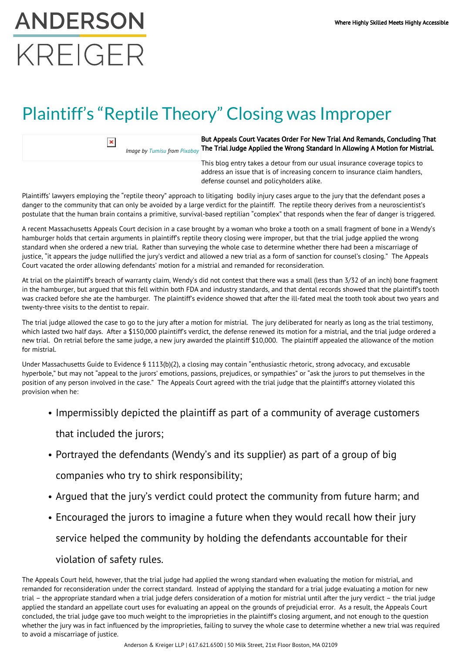## **ANDERSON** KRFIGFR

## Plaintiff's "Reptile Theory" Closing was Improper

 $\pmb{\times}$ 

*Image by [Tumisu](https://pixabay.com/users/Tumisu-148124/?utm_source=link-attribution&utm_medium=referral&utm_campaign=image&utm_content=1991276) from [Pixabay](https://pixabay.com/?utm_source=link-attribution&utm_medium=referral&utm_campaign=image&utm_content=1991276)* But Appeals Court Vacates Order For New Trial And Remands, Concluding That The Trial Judge Applied the Wrong Standard In Allowing A Motion for Mistrial.

> This blog entry takes a detour from our usual insurance coverage topics to address an issue that is of increasing concern to insurance claim handlers, defense counsel and policyholders alike.

Plaintiffs' lawyers employing the "reptile theory" approach to litigating bodily injury cases argue to the jury that the defendant poses a danger to the community that can only be avoided by a large verdict for the plaintiff. The reptile theory derives from a neuroscientist's postulate that the human brain contains a primitive, survival-based reptilian "complex" that responds when the fear of danger is triggered.

A recent Massachusetts Appeals Court decision in a case brought by a woman who broke a tooth on a small fragment of bone in a Wendy's hamburger holds that certain arguments in plaintiff's reptile theory closing were improper, but that the trial judge applied the wrong standard when she ordered a new trial. Rather than surveying the whole case to determine whether there had been a miscarriage of justice, "it appears the judge nullified the jury's verdict and allowed a new trial as a form of sanction for counsel's closing." The Appeals Court vacated the order allowing defendants' motion for a mistrial and remanded for reconsideration.

At trial on the plaintiff's breach of warranty claim, Wendy's did not contest that there was a small (less than 3/32 of an inch) bone fragment in the hamburger, but argued that this fell within both FDA and industry standards, and that dental records showed that the plaintiff's tooth was cracked before she ate the hamburger. The plaintiff's evidence showed that after the ill-fated meal the tooth took about two years and twenty-three visits to the dentist to repair.

The trial judge allowed the case to go to the jury after a motion for mistrial. The jury deliberated for nearly as long as the trial testimony, which lasted two half days. After a \$150,000 plaintiff's verdict, the defense renewed its motion for a mistrial, and the trial judge ordered a new trial. On retrial before the same judge, a new jury awarded the plaintiff \$10,000. The plaintiff appealed the allowance of the motion for mistrial.

Under Massachusetts Guide to Evidence § 1113(b)(2), a closing may contain "enthusiastic rhetoric, strong advocacy, and excusable hyperbole," but may not "appeal to the jurors' emotions, passions, prejudices, or sympathies" or "ask the jurors to put themselves in the position of any person involved in the case." The Appeals Court agreed with the trial judge that the plaintiff's attorney violated this provision when he:

• Impermissibly depicted the plaintiff as part of a community of average customers

that included the jurors;

Portrayed the defendants (Wendy's and its supplier) as part of a group of big

companies who try to shirk responsibility;

- Argued that the jury's verdict could protect the community from future harm; and
- Encouraged the jurors to imagine a future when they would recall how their jury

service helped the community by holding the defendants accountable for their

## violation of safety rules.

The Appeals Court held, however, that the trial judge had applied the wrong standard when evaluating the motion for mistrial, and remanded for reconsideration under the correct standard. Instead of applying the standard for a trial judge evaluating a motion for new trial – the appropriate standard when a trial judge defers consideration of a motion for mistrial until after the jury verdict – the trial judge applied the standard an appellate court uses for evaluating an appeal on the grounds of prejudicial error. As a result, the Appeals Court concluded, the trial judge gave too much weight to the improprieties in the plaintiff's closing argument, and not enough to the question whether the jury was in fact influenced by the improprieties, failing to survey the whole case to determine whether a new trial was required to avoid a miscarriage of justice.